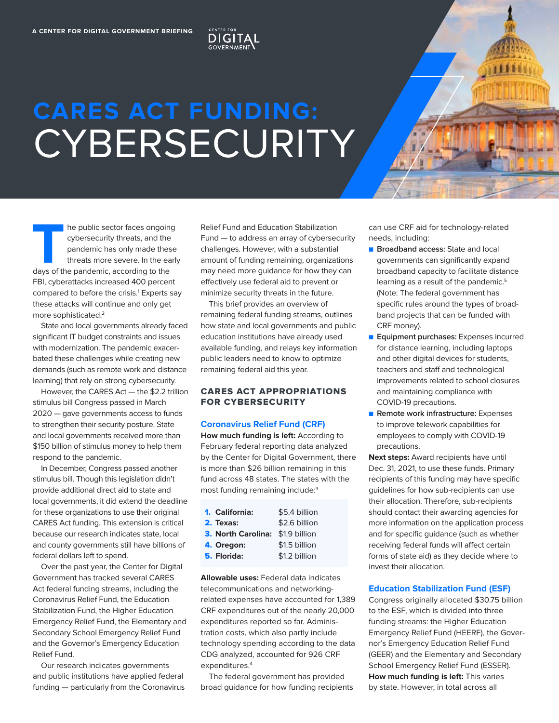# **CARES ACT FUNDING: CYBERSECURITY**

**DIGITA** 



**THE PUBLIC SECTOR FACES ONGOING**<br>
days of the pandemic, according to the<br>
days of the pandemic, according to the cybersecurity threats, and the pandemic has only made these threats more severe. In the early FBI, cyberattacks increased 400 percent compared to before the crisis.<sup>1</sup> Experts say these attacks will continue and only get more sophisticated.2

State and local governments already faced significant IT budget constraints and issues with modernization. The pandemic exacerbated these challenges while creating new demands (such as remote work and distance learning) that rely on strong cybersecurity.

However, the CARES Act — the \$2.2 trillion stimulus bill Congress passed in March 2020 — gave governments access to funds to strengthen their security posture. State and local governments received more than \$150 billion of stimulus money to help them respond to the pandemic.

In December, Congress passed another stimulus bill. Though this legislation didn't provide additional direct aid to state and local governments, it did extend the deadline for these organizations to use their original CARES Act funding. This extension is critical because our research indicates state, local and county governments still have billions of federal dollars left to spend.

Over the past year, the Center for Digital Government has tracked several CARES Act federal funding streams, including the Coronavirus Relief Fund, the Education Stabilization Fund, the Higher Education Emergency Relief Fund, the Elementary and Secondary School Emergency Relief Fund and the Governor's Emergency Education Relief Fund.

Our research indicates governments and public institutions have applied federal funding — particularly from the Coronavirus Relief Fund and Education Stabilization Fund — to address an array of cybersecurity challenges. However, with a substantial amount of funding remaining, organizations may need more guidance for how they can effectively use federal aid to prevent or minimize security threats in the future.

This brief provides an overview of remaining federal funding streams, outlines how state and local governments and public education institutions have already used available funding, and relays key information public leaders need to know to optimize remaining federal aid this year.

### CARES ACT APPROPRIATIONS FOR CYBERSECURITY

#### **Coronavirus Relief Fund (CRF)**

**How much funding is left:** According to February federal reporting data analyzed by the Center for Digital Government, there is more than \$26 billion remaining in this fund across 48 states. The states with the most funding remaining include:3

| 1. California:                   | \$5.4 billion |
|----------------------------------|---------------|
| 2. Texas:                        | \$2.6 billion |
| 3. North Carolina: \$1.9 billion |               |
| 4. Oregon:                       | \$1.5 billion |
| 5. Florida:                      | \$1.2 billion |

**Allowable uses:** Federal data indicates telecommunications and networkingrelated expenses have accounted for 1,389 CRF expenditures out of the nearly 20,000 expenditures reported so far. Administration costs, which also partly include technology spending according to the data CDG analyzed, accounted for 926 CRF expenditures.<sup>4</sup>

The federal government has provided broad guidance for how funding recipients can use CRF aid for technology-related needs, including:

- **Broadband access: State and local** governments can significantly expand broadband capacity to facilitate distance learning as a result of the pandemic.<sup>5</sup> (Note: The federal government has specific rules around the types of broadband projects that can be funded with CRF money).
- **Equipment purchases:** Expenses incurred for distance learning, including laptops and other digital devices for students, teachers and staff and technological improvements related to school closures and maintaining compliance with COVID-19 precautions.
- **Remote work infrastructure:** Expenses to improve telework capabilities for employees to comply with COVID-19 precautions.

**Next steps:** Award recipients have until Dec. 31, 2021, to use these funds. Primary recipients of this funding may have specific guidelines for how sub-recipients can use their allocation. Therefore, sub-recipients should contact their awarding agencies for more information on the application process and for specific guidance (such as whether receiving federal funds will affect certain forms of state aid) as they decide where to invest their allocation.

#### **Education Stabilization Fund (ESF)**

Congress originally allocated \$30.75 billion to the ESF, which is divided into three funding streams: the Higher Education Emergency Relief Fund (HEERF), the Governor's Emergency Education Relief Fund (GEER) and the Elementary and Secondary School Emergency Relief Fund (ESSER). **How much funding is left:** This varies by state. However, in total across all